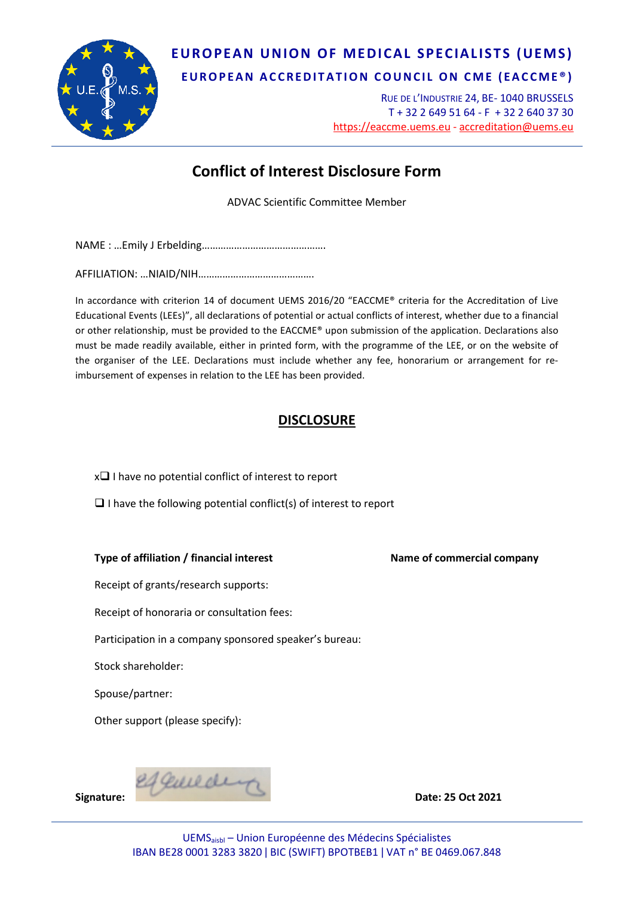

## **EUROPEAN UNION OF MEDICAL SPECIALISTS (UEMS)**

**EUROPEAN ACCREDITATION COUNCIL ON CME (EACCME ® )**

RUE DE L'INDUSTRIE 24, BE- 1040 BRUSSELS T + 32 2 649 51 64 - F + 32 2 640 37 30 https://eaccme.uems.eu - [accreditation@uems.eu](mailto:accreditation@uems.eu)

## **Conflict of Interest Disclosure Form**

ADVAC Scientific Committee Member

NAME : …Emily J Erbelding……………………………………….

AFFILIATION: …NIAID/NIH…………………………………….

In accordance with criterion 14 of document UEMS 2016/20 "EACCME® criteria for the Accreditation of Live Educational Events (LEEs)", all declarations of potential or actual conflicts of interest, whether due to a financial or other relationship, must be provided to the EACCME® upon submission of the application. Declarations also must be made readily available, either in printed form, with the programme of the LEE, or on the website of the organiser of the LEE. Declarations must include whether any fee, honorarium or arrangement for reimbursement of expenses in relation to the LEE has been provided.

## **DISCLOSURE**

 $x \Box$  I have no potential conflict of interest to report

 $\Box$  I have the following potential conflict(s) of interest to report

**Type of affiliation / financial interest Name of commercial company**

Receipt of grants/research supports:

Receipt of honoraria or consultation fees:

Participation in a company sponsored speaker's bureau:

Stock shareholder:

Spouse/partner:

Other support (please specify):